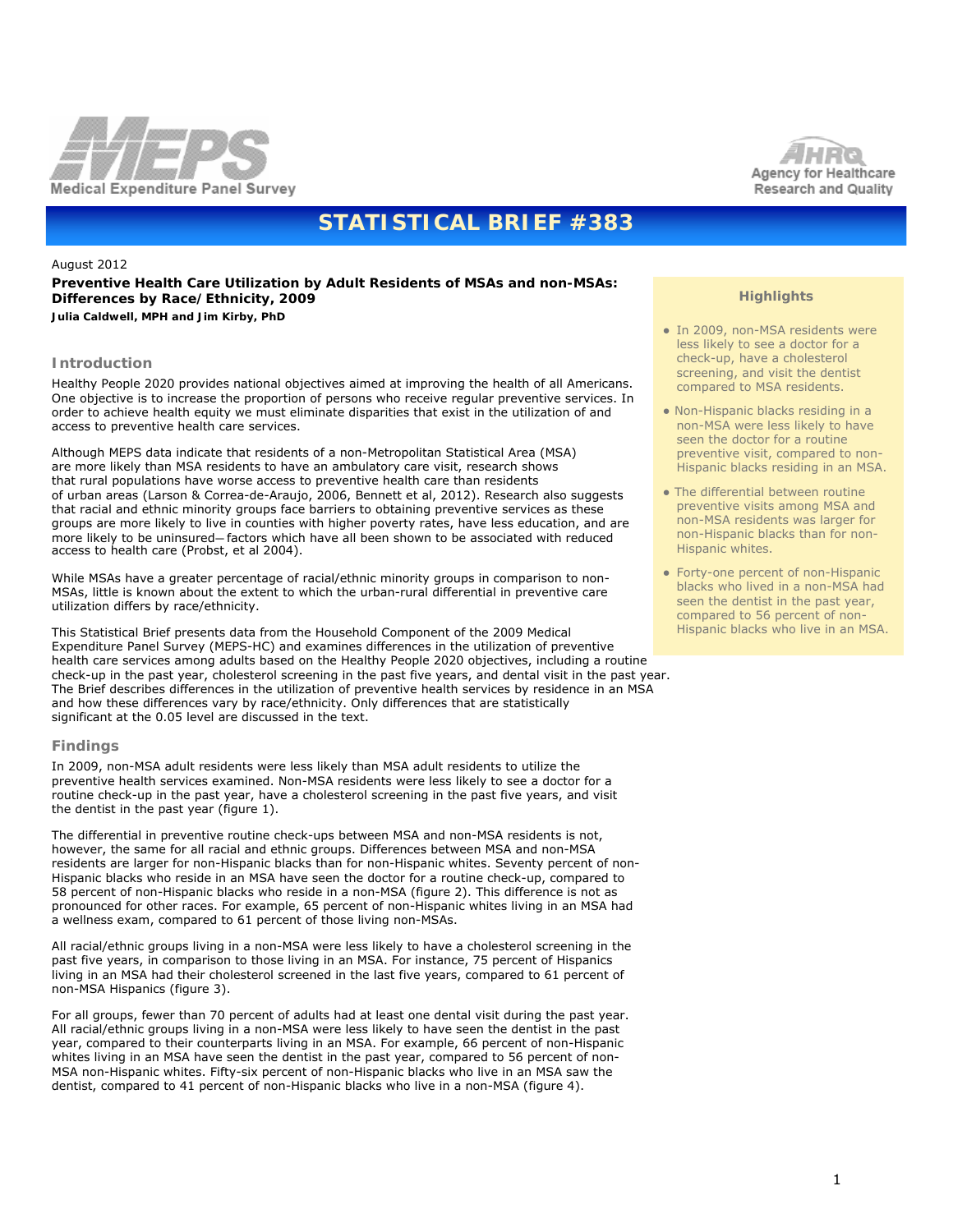



# **STATISTICAL BRIEF #383**

## August 2012

# **Preventive Health Care Utilization by Adult Residents of MSAs and non-MSAs: Differences by Race/Ethnicity, 2009**

*Julia Caldwell, MPH and Jim Kirby, PhD*

## **Introduction**

Healthy People 2020 provides national objectives aimed at improving the health of all Americans. One objective is to increase the proportion of persons who receive regular preventive services. In order to achieve health equity we must eliminate disparities that exist in the utilization of and access to preventive health care services.

Although MEPS data indicate that residents of a non-Metropolitan Statistical Area (MSA) are more likely than MSA residents to have an ambulatory care visit, research shows that rural populations have worse access to preventive health care than residents of urban areas (Larson & Correa-de-Araujo, 2006, Bennett et al, 2012). Research also suggests that racial and ethnic minority groups face barriers to obtaining preventive services as these groups are more likely to live in counties with higher poverty rates, have less education, and are more likely to be uninsured—factors which have all been shown to be associated with reduced access to health care (Probst, et al 2004).

While MSAs have a greater percentage of racial/ethnic minority groups in comparison to non-MSAs, little is known about the extent to which the urban-rural differential in preventive care utilization differs by race/ethnicity.

This Statistical Brief presents data from the Household Component of the 2009 Medical Expenditure Panel Survey (MEPS-HC) and examines differences in the utilization of preventive health care services among adults based on the Healthy People 2020 objectives, including a routine check-up in the past year, cholesterol screening in the past five years, and dental visit in the past year. The Brief describes differences in the utilization of preventive health services by residence in an MSA and how these differences vary by race/ethnicity. Only differences that are statistically significant at the 0.05 level are discussed in the text.

## **Findings**

In 2009, non-MSA adult residents were less likely than MSA adult residents to utilize the preventive health services examined. Non-MSA residents were less likely to see a doctor for a routine check-up in the past year, have a cholesterol screening in the past five years, and visit the dentist in the past year (figure 1).

The differential in preventive routine check-ups between MSA and non-MSA residents is not, however, the same for all racial and ethnic groups. Differences between MSA and non-MSA residents are larger for non-Hispanic blacks than for non-Hispanic whites. Seventy percent of non-Hispanic blacks who reside in an MSA have seen the doctor for a routine check-up, compared to 58 percent of non-Hispanic blacks who reside in a non-MSA (figure 2). This difference is not as pronounced for other races. For example, 65 percent of non-Hispanic whites living in an MSA had a wellness exam, compared to 61 percent of those living non-MSAs.

All racial/ethnic groups living in a non-MSA were less likely to have a cholesterol screening in the past five years, in comparison to those living in an MSA. For instance, 75 percent of Hispanics living in an MSA had their cholesterol screened in the last five years, compared to 61 percent of non-MSA Hispanics (figure 3).

For all groups, fewer than 70 percent of adults had at least one dental visit during the past year. All racial/ethnic groups living in a non-MSA were less likely to have seen the dentist in the past year, compared to their counterparts living in an MSA. For example, 66 percent of non-Hispanic whites living in an MSA have seen the dentist in the past year, compared to 56 percent of non-MSA non-Hispanic whites. Fifty-six percent of non-Hispanic blacks who live in an MSA saw the dentist, compared to 41 percent of non-Hispanic blacks who live in a non-MSA (figure 4).

# **Highlights**

- In 2009, non-MSA residents were less likely to see a doctor for a check-up, have a cholesterol screening, and visit the dentist compared to MSA residents.
- Non-Hispanic blacks residing in a non-MSA were less likely to have seen the doctor for a routine preventive visit, compared to non-Hispanic blacks residing in an MSA.
- The differential between routine preventive visits among MSA and non-MSA residents was larger for non-Hispanic blacks than for non-Hispanic whites.
- Forty-one percent of non-Hispanic blacks who lived in a non-MSA had seen the dentist in the past year, compared to 56 percent of non-Hispanic blacks who live in an MSA.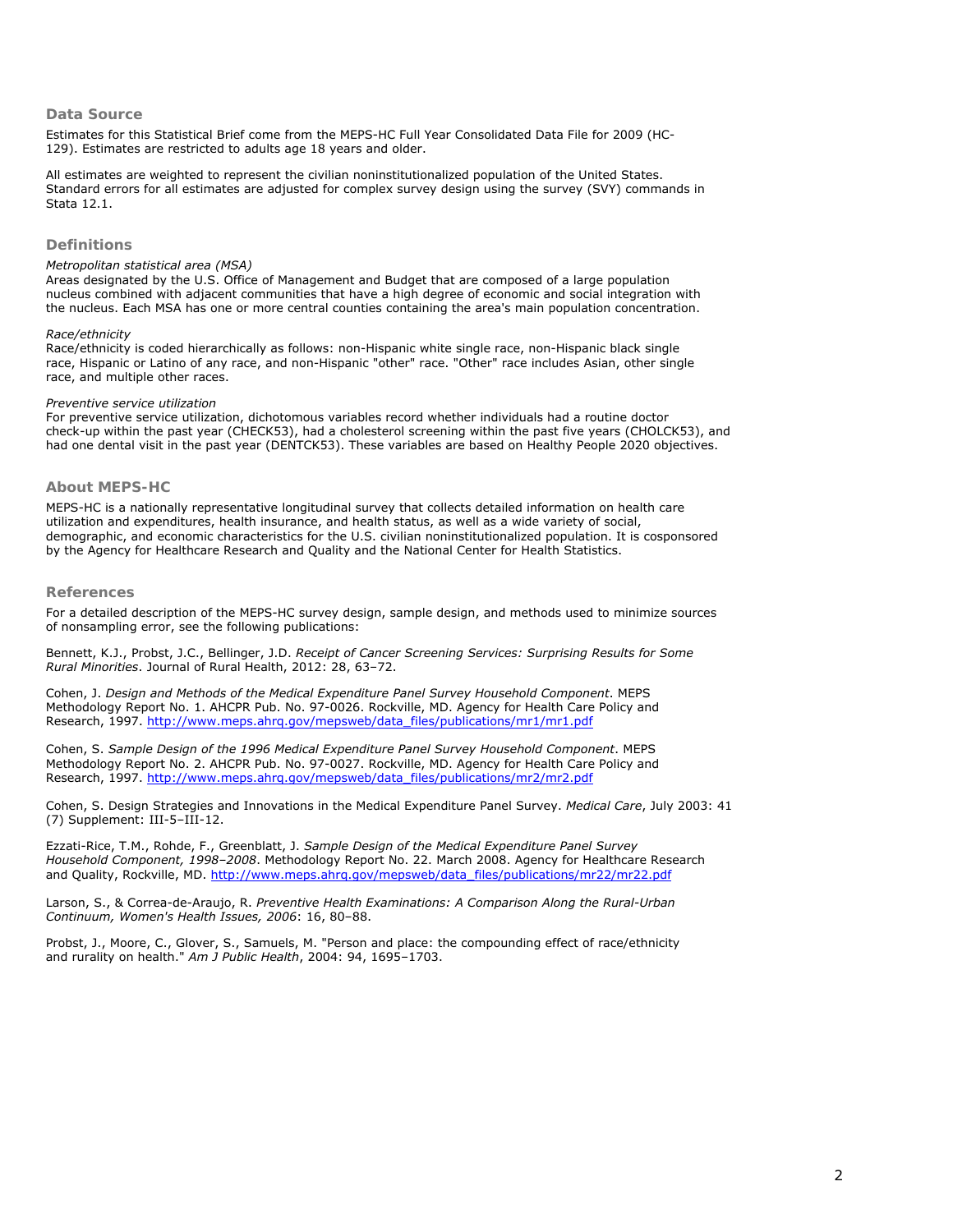## **Data Source**

Estimates for this Statistical Brief come from the MEPS-HC Full Year Consolidated Data File for 2009 (HC-129). Estimates are restricted to adults age 18 years and older.

All estimates are weighted to represent the civilian noninstitutionalized population of the United States. Standard errors for all estimates are adjusted for complex survey design using the survey (SVY) commands in Stata 12.1.

#### **Definitions**

#### *Metropolitan statistical area (MSA)*

Areas designated by the U.S. Office of Management and Budget that are composed of a large population nucleus combined with adjacent communities that have a high degree of economic and social integration with the nucleus. Each MSA has one or more central counties containing the area's main population concentration.

#### *Race/ethnicity*

Race/ethnicity is coded hierarchically as follows: non-Hispanic white single race, non-Hispanic black single race, Hispanic or Latino of any race, and non-Hispanic "other" race. "Other" race includes Asian, other single race, and multiple other races.

#### *Preventive service utilization*

For preventive service utilization, dichotomous variables record whether individuals had a routine doctor check-up within the past year (CHECK53), had a cholesterol screening within the past five years (CHOLCK53), and had one dental visit in the past year (DENTCK53). These variables are based on Healthy People 2020 objectives.

# **About MEPS-HC**

MEPS-HC is a nationally representative longitudinal survey that collects detailed information on health care utilization and expenditures, health insurance, and health status, as well as a wide variety of social, demographic, and economic characteristics for the U.S. civilian noninstitutionalized population. It is cosponsored by the Agency for Healthcare Research and Quality and the National Center for Health Statistics.

#### **References**

For a detailed description of the MEPS-HC survey design, sample design, and methods used to minimize sources of nonsampling error, see the following publications:

Bennett, K.J., Probst, J.C., Bellinger, J.D. *Receipt of Cancer Screening Services: Surprising Results for Some Rural Minorities*. Journal of Rural Health, 2012: 28, 63–72.

Cohen, J. *Design and Methods of the Medical Expenditure Panel Survey Household Component*. MEPS Methodology Report No. 1. AHCPR Pub. No. 97-0026. Rockville, MD. Agency for Health Care Policy and Research, 1997. [http://www.meps.ahrq.gov/mepsweb/data\\_files/publications/mr1/mr1.pdf](http://www.meps.ahrq.gov/mepsweb/data_files/publications/mr1/mr1.pdf)

Cohen, S. *Sample Design of the 1996 Medical Expenditure Panel Survey Household Component*. MEPS Methodology Report No. 2. AHCPR Pub. No. 97-0027. Rockville, MD. Agency for Health Care Policy and Research, 1997. [http://www.meps.ahrq.gov/mepsweb/data\\_files/publications/mr2/mr2.pdf](http://www.meps.ahrq.gov/mepsweb/data_files/publications/mr2/mr2.pdf)

Cohen, S. Design Strategies and Innovations in the Medical Expenditure Panel Survey. *Medical Care*, July 2003: 41 (7) Supplement: III-5–III-12.

Ezzati-Rice, T.M., Rohde, F., Greenblatt, J. *Sample Design of the Medical Expenditure Panel Survey Household Component, 1998–2008*. Methodology Report No. 22. March 2008. Agency for Healthcare Research and Quality, Rockville, MD. http://www.meps.ahrq.gov/mepsweb/data\_files/publications/mr22/mr22.pdf

Larson, S., & Correa-de-Araujo, R. *Preventive Health Examinations: A Comparison Along the Rural-Urban Continuum, Women's Health Issues, 2006*: 16, 80–88.

Probst, J., Moore, C., Glover, S., Samuels, M. "Person and place: the compounding effect of race/ethnicity and rurality on health." *Am J Public Health*, 2004: 94, 1695–1703.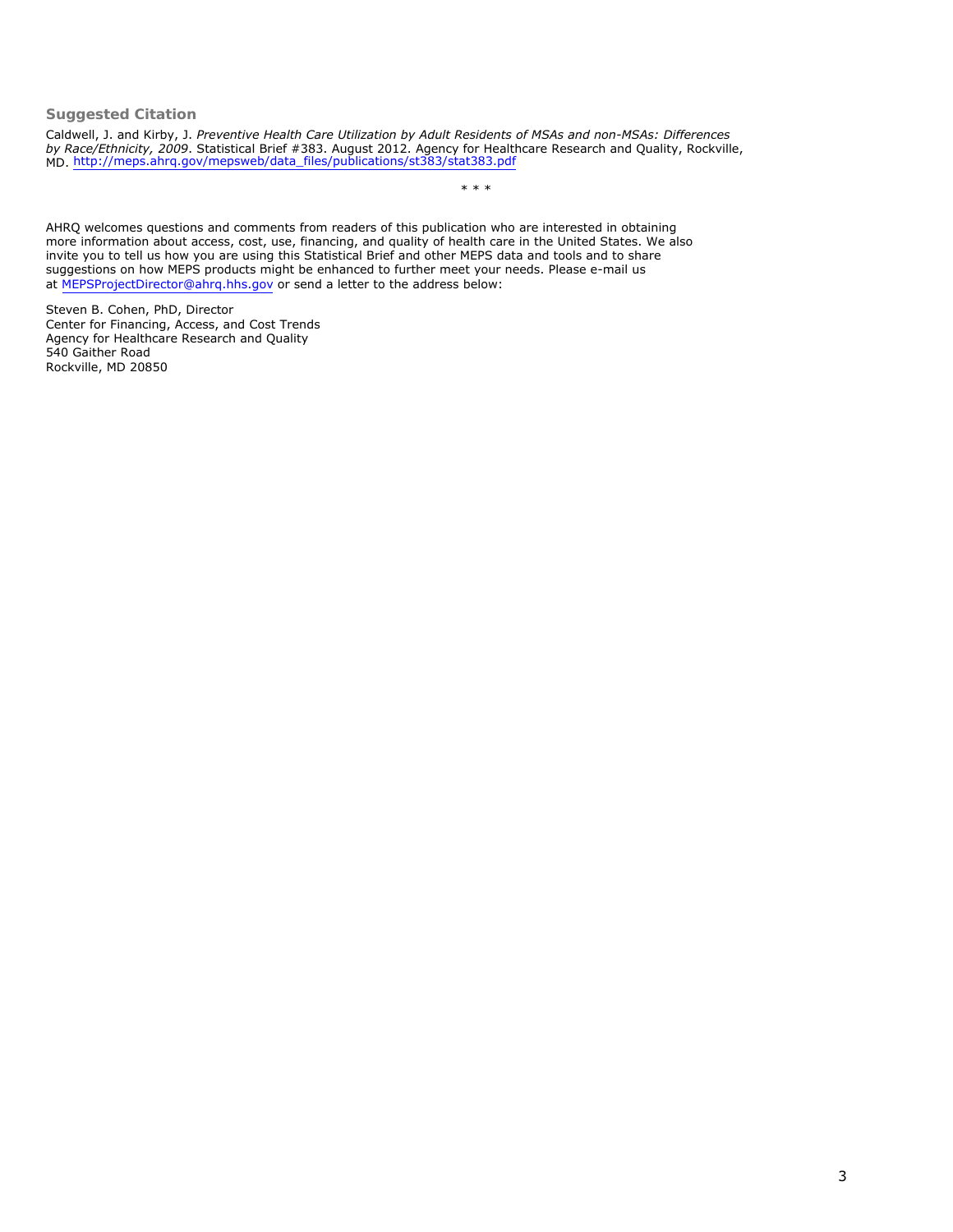# **Suggested Citation**

Caldwell, J. and Kirby, J. *Preventive Health Care Utilization by Adult Residents of MSAs and non-MSAs: Differences by Race/Ethnicity, 2009*. Statistical Brief #383. August 2012. Agency for Healthcare Research and Quality, Rockville, MD. [http://meps.ahrq.gov/mepsweb/data\\_files/publications/st383/stat383.pdf](http://meps.ahrq.gov/mepsweb/data_files/publications/st383/stat383.pdf) 

\* \* \*

AHRQ welcomes questions and comments from readers of this publication who are interested in obtaining more information about access, cost, use, financing, and quality of health care in the United States. We also invite you to tell us how you are using this Statistical Brief and other MEPS data and tools and to share suggestions on how MEPS products might be enhanced to further meet your needs. Please e-mail us at [MEPSProjectDirector@ahrq.hhs.gov](mailto:MEPSProjectDirector@ahrq.hhs.gov) or send a letter to the address below:

Steven B. Cohen, PhD, Director Center for Financing, Access, and Cost Trends Agency for Healthcare Research and Quality 540 Gaither Road Rockville, MD 20850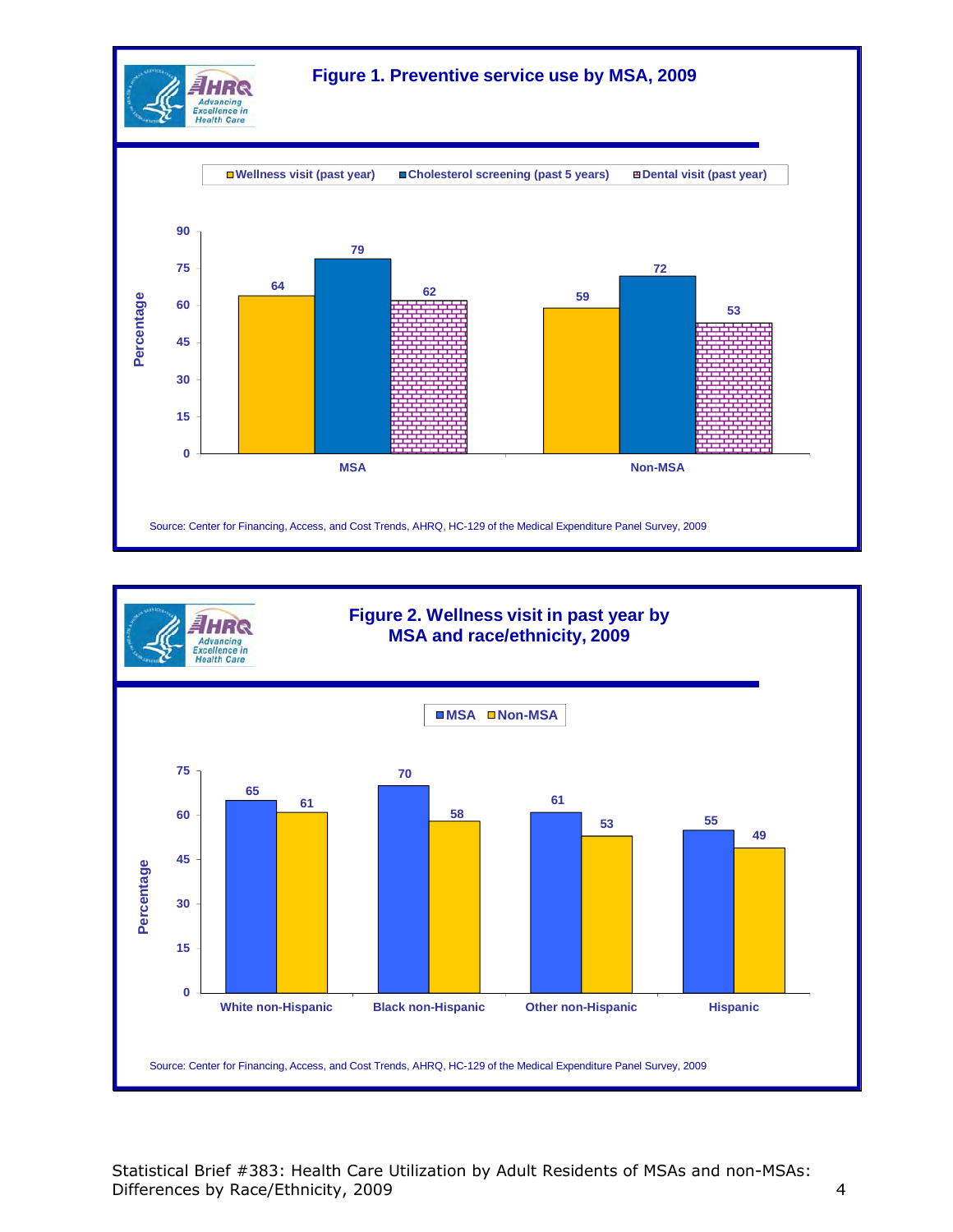



Statistical Brief #383: Health Care Utilization by Adult Residents of MSAs and non-MSAs: Differences by Race/Ethnicity, 2009 4